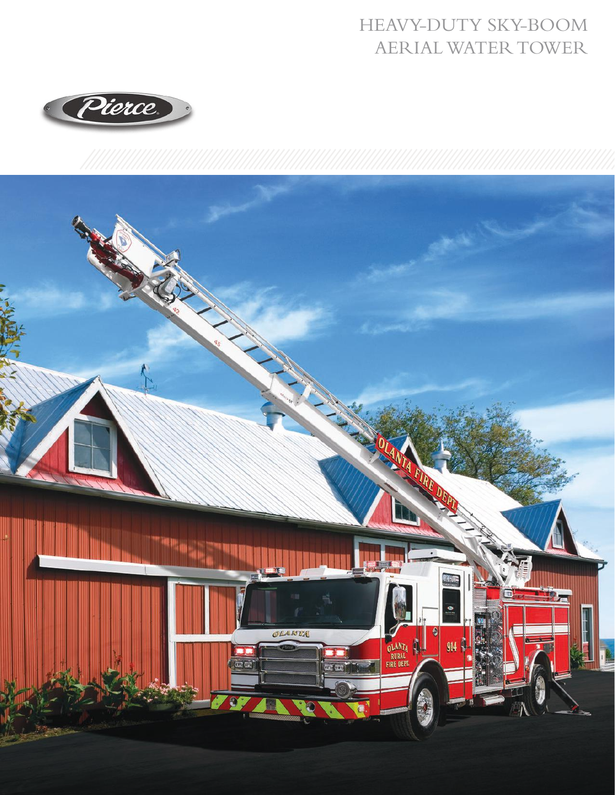## HEAVY-DUTY SKY-BOOM AERIAL WATER TOWER